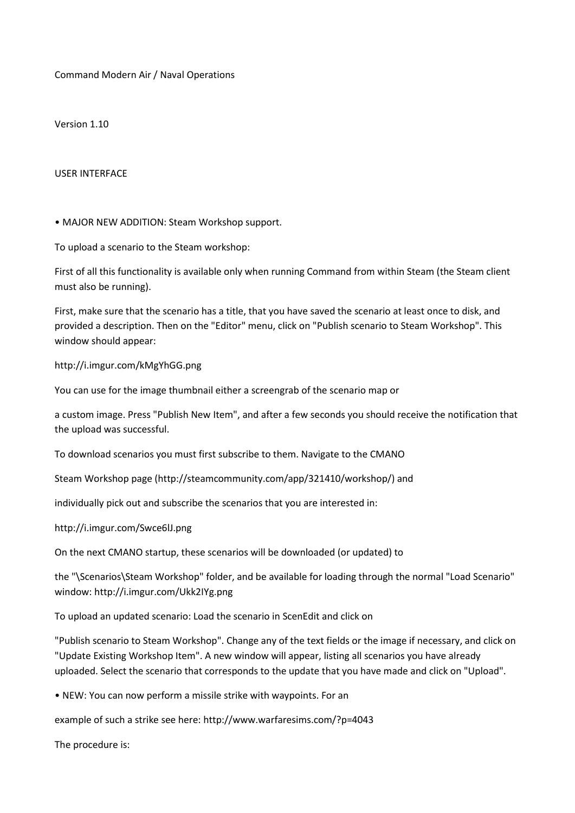Command Modern Air / Naval Operations

Version 1.10

USER INTERFACE

• MAJOR NEW ADDITION: Steam Workshop support.

To upload a scenario to the Steam workshop:

First of all this functionality is available only when running Command from within Steam (the Steam client must also be running).

First, make sure that the scenario has a title, that you have saved the scenario at least once to disk, and provided a description. Then on the "Editor" menu, click on "Publish scenario to Steam Workshop". This window should appear:

http://i.imgur.com/kMgYhGG.png

You can use for the image thumbnail either a screengrab of the scenario map or

a custom image. Press "Publish New Item", and after a few seconds you should receive the notification that the upload was successful.

To download scenarios you must first subscribe to them. Navigate to the CMANO

Steam Workshop page (http://steamcommunity.com/app/321410/workshop/) and

individually pick out and subscribe the scenarios that you are interested in:

http://i.imgur.com/Swce6lJ.png

On the next CMANO startup, these scenarios will be downloaded (or updated) to

the "\Scenarios\Steam Workshop" folder, and be available for loading through the normal "Load Scenario" window: http://i.imgur.com/Ukk2IYg.png

To upload an updated scenario: Load the scenario in ScenEdit and click on

"Publish scenario to Steam Workshop". Change any of the text fields or the image if necessary, and click on "Update Existing Workshop Item". A new window will appear, listing all scenarios you have already uploaded. Select the scenario that corresponds to the update that you have made and click on "Upload".

• NEW: You can now perform a missile strike with waypoints. For an

example of such a strike see here: http://www.warfaresims.com/?p=4043

The procedure is: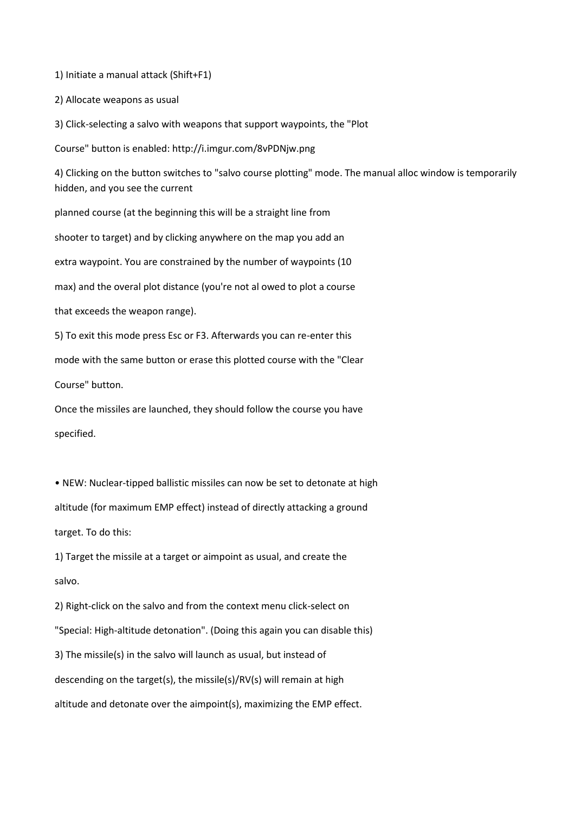1) Initiate a manual attack (Shift+F1)

2) Allocate weapons as usual

3) Click-selecting a salvo with weapons that support waypoints, the "Plot

Course" button is enabled: http://i.imgur.com/8vPDNjw.png

4) Clicking on the button switches to "salvo course plotting" mode. The manual alloc window is temporarily hidden, and you see the current

planned course (at the beginning this will be a straight line from

shooter to target) and by clicking anywhere on the map you add an

extra waypoint. You are constrained by the number of waypoints (10

max) and the overal plot distance (you're not al owed to plot a course

that exceeds the weapon range).

5) To exit this mode press Esc or F3. Afterwards you can re-enter this

mode with the same button or erase this plotted course with the "Clear

Course" button.

Once the missiles are launched, they should follow the course you have specified.

• NEW: Nuclear-tipped ballistic missiles can now be set to detonate at high altitude (for maximum EMP effect) instead of directly attacking a ground target. To do this:

1) Target the missile at a target or aimpoint as usual, and create the salvo.

2) Right-click on the salvo and from the context menu click-select on "Special: High-altitude detonation". (Doing this again you can disable this) 3) The missile(s) in the salvo will launch as usual, but instead of descending on the target(s), the missile(s)/RV(s) will remain at high altitude and detonate over the aimpoint(s), maximizing the EMP effect.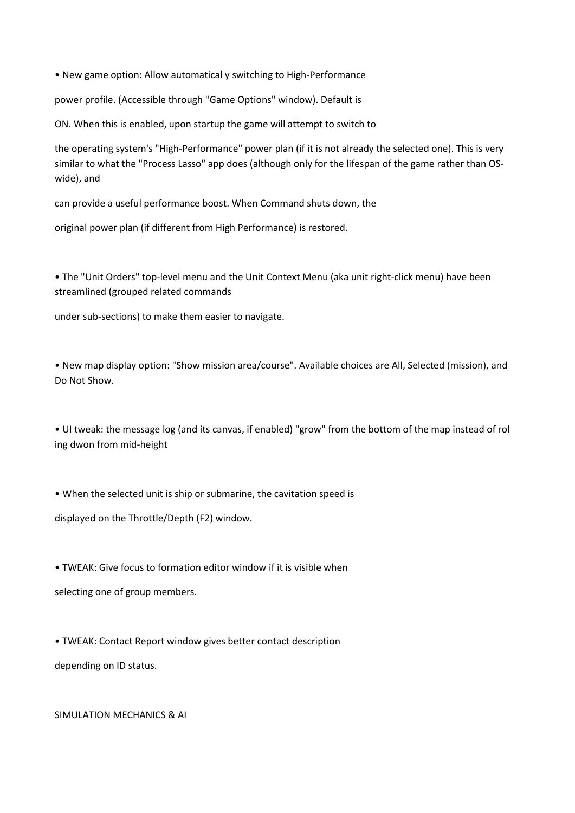• New game option: Allow automatical y switching to High-Performance

power profile. (Accessible through "Game Options" window). Default is

ON. When this is enabled, upon startup the game will attempt to switch to

the operating system's "High-Performance" power plan (if it is not already the selected one). This is very similar to what the "Process Lasso" app does (although only for the lifespan of the game rather than OSwide), and

can provide a useful performance boost. When Command shuts down, the

original power plan (if different from High Performance) is restored.

• The "Unit Orders" top-level menu and the Unit Context Menu (aka unit right-click menu) have been streamlined (grouped related commands

under sub-sections) to make them easier to navigate.

• New map display option: "Show mission area/course". Available choices are All, Selected (mission), and Do Not Show.

• UI tweak: the message log (and its canvas, if enabled) "grow" from the bottom of the map instead of rol ing dwon from mid-height

• When the selected unit is ship or submarine, the cavitation speed is

displayed on the Throttle/Depth (F2) window.

• TWEAK: Give focus to formation editor window if it is visible when selecting one of group members.

• TWEAK: Contact Report window gives better contact description depending on ID status.

## SIMULATION MECHANICS & AI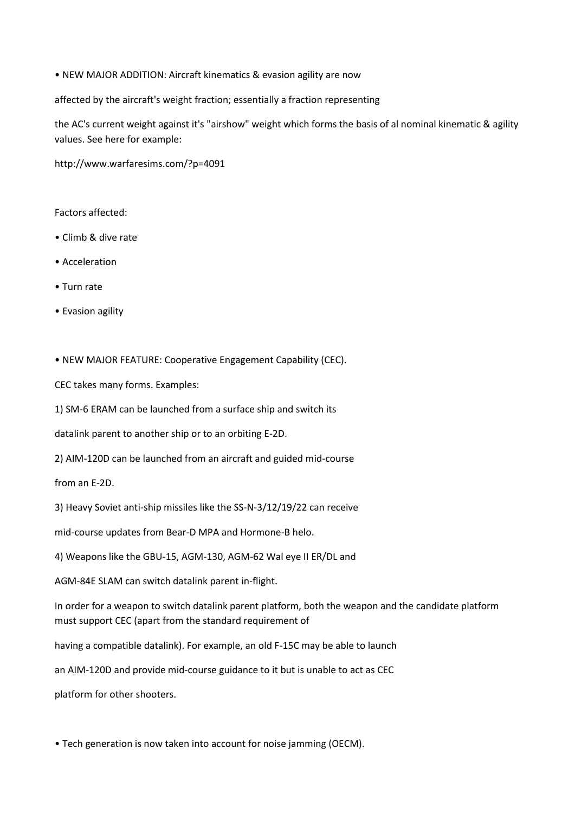• NEW MAJOR ADDITION: Aircraft kinematics & evasion agility are now

affected by the aircraft's weight fraction; essentially a fraction representing

the AC's current weight against it's "airshow" weight which forms the basis of al nominal kinematic & agility values. See here for example:

http://www.warfaresims.com/?p=4091

Factors affected:

- Climb & dive rate
- Acceleration
- Turn rate
- Evasion agility

• NEW MAJOR FEATURE: Cooperative Engagement Capability (CEC).

CEC takes many forms. Examples:

1) SM-6 ERAM can be launched from a surface ship and switch its

datalink parent to another ship or to an orbiting E-2D.

2) AIM-120D can be launched from an aircraft and guided mid-course

from an E-2D.

3) Heavy Soviet anti-ship missiles like the SS-N-3/12/19/22 can receive

mid-course updates from Bear-D MPA and Hormone-B helo.

4) Weapons like the GBU-15, AGM-130, AGM-62 Wal eye II ER/DL and

AGM-84E SLAM can switch datalink parent in-flight.

In order for a weapon to switch datalink parent platform, both the weapon and the candidate platform must support CEC (apart from the standard requirement of

having a compatible datalink). For example, an old F-15C may be able to launch

an AIM-120D and provide mid-course guidance to it but is unable to act as CEC

platform for other shooters.

• Tech generation is now taken into account for noise jamming (OECM).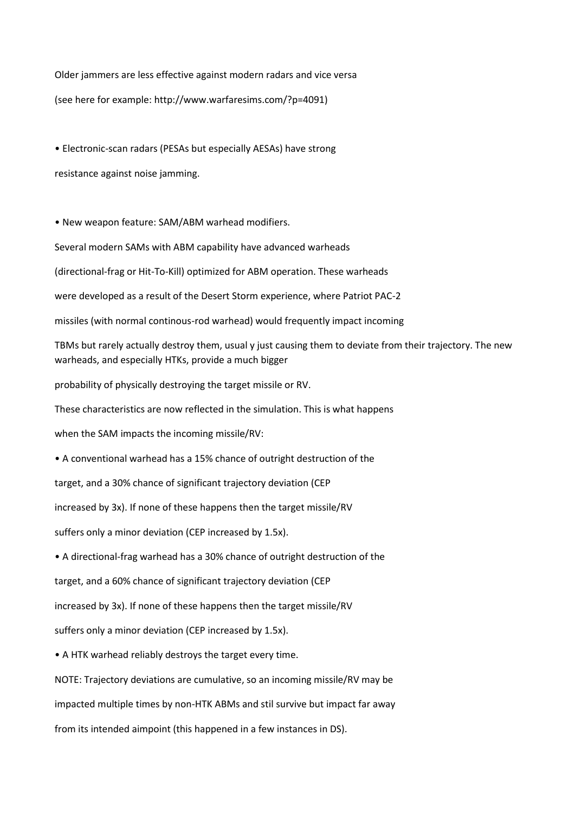Older jammers are less effective against modern radars and vice versa (see here for example: http://www.warfaresims.com/?p=4091)

• Electronic-scan radars (PESAs but especially AESAs) have strong resistance against noise jamming.

• New weapon feature: SAM/ABM warhead modifiers.

Several modern SAMs with ABM capability have advanced warheads

(directional-frag or Hit-To-Kill) optimized for ABM operation. These warheads

were developed as a result of the Desert Storm experience, where Patriot PAC-2

missiles (with normal continous-rod warhead) would frequently impact incoming

TBMs but rarely actually destroy them, usual y just causing them to deviate from their trajectory. The new warheads, and especially HTKs, provide a much bigger

probability of physically destroying the target missile or RV.

These characteristics are now reflected in the simulation. This is what happens

when the SAM impacts the incoming missile/RV:

• A conventional warhead has a 15% chance of outright destruction of the

target, and a 30% chance of significant trajectory deviation (CEP

increased by 3x). If none of these happens then the target missile/RV

suffers only a minor deviation (CEP increased by 1.5x).

• A directional-frag warhead has a 30% chance of outright destruction of the

target, and a 60% chance of significant trajectory deviation (CEP

increased by 3x). If none of these happens then the target missile/RV

suffers only a minor deviation (CEP increased by 1.5x).

• A HTK warhead reliably destroys the target every time.

NOTE: Trajectory deviations are cumulative, so an incoming missile/RV may be

impacted multiple times by non-HTK ABMs and stil survive but impact far away

from its intended aimpoint (this happened in a few instances in DS).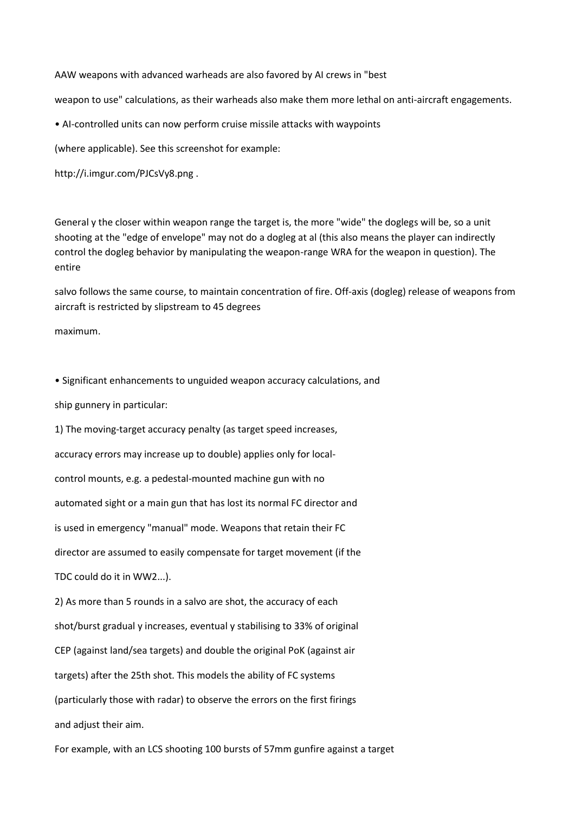AAW weapons with advanced warheads are also favored by AI crews in "best

weapon to use" calculations, as their warheads also make them more lethal on anti-aircraft engagements.

• AI-controlled units can now perform cruise missile attacks with waypoints

(where applicable). See this screenshot for example:

http://i.imgur.com/PJCsVy8.png .

General y the closer within weapon range the target is, the more "wide" the doglegs will be, so a unit shooting at the "edge of envelope" may not do a dogleg at al (this also means the player can indirectly control the dogleg behavior by manipulating the weapon-range WRA for the weapon in question). The entire

salvo follows the same course, to maintain concentration of fire. Off-axis (dogleg) release of weapons from aircraft is restricted by slipstream to 45 degrees

maximum.

• Significant enhancements to unguided weapon accuracy calculations, and

ship gunnery in particular:

1) The moving-target accuracy penalty (as target speed increases, accuracy errors may increase up to double) applies only for localcontrol mounts, e.g. a pedestal-mounted machine gun with no automated sight or a main gun that has lost its normal FC director and is used in emergency "manual" mode. Weapons that retain their FC director are assumed to easily compensate for target movement (if the TDC could do it in WW2...).

2) As more than 5 rounds in a salvo are shot, the accuracy of each shot/burst gradual y increases, eventual y stabilising to 33% of original CEP (against land/sea targets) and double the original PoK (against air targets) after the 25th shot. This models the ability of FC systems (particularly those with radar) to observe the errors on the first firings and adjust their aim.

For example, with an LCS shooting 100 bursts of 57mm gunfire against a target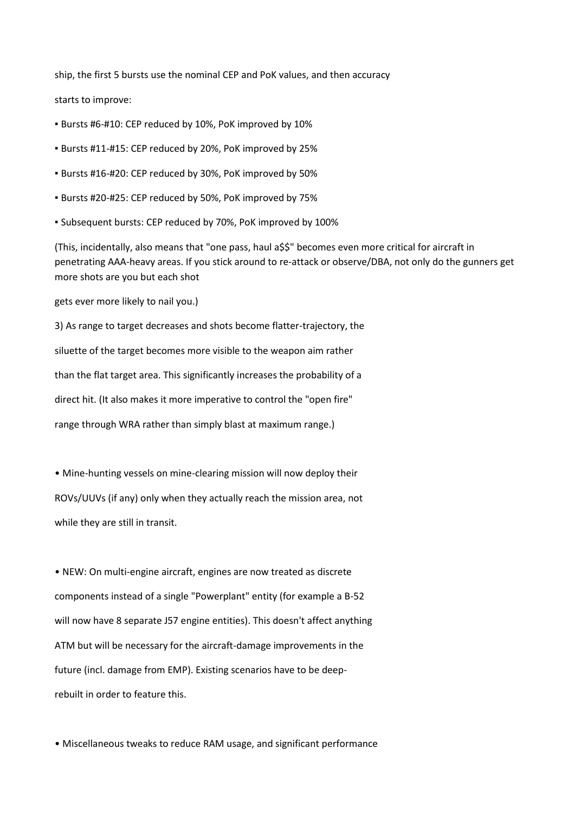ship, the first 5 bursts use the nominal CEP and PoK values, and then accuracy

starts to improve:

- Bursts #6-#10: CEP reduced by 10%, PoK improved by 10%
- Bursts #11-#15: CEP reduced by 20%, PoK improved by 25%
- Bursts #16-#20: CEP reduced by 30%, PoK improved by 50%
- Bursts #20-#25: CEP reduced by 50%, PoK improved by 75%
- Subsequent bursts: CEP reduced by 70%, PoK improved by 100%

(This, incidentally, also means that "one pass, haul a\$\$" becomes even more critical for aircraft in penetrating AAA-heavy areas. If you stick around to re-attack or observe/DBA, not only do the gunners get more shots are you but each shot

gets ever more likely to nail you.)

3) As range to target decreases and shots become flatter-trajectory, the siluette of the target becomes more visible to the weapon aim rather than the flat target area. This significantly increases the probability of a direct hit. (It also makes it more imperative to control the "open fire" range through WRA rather than simply blast at maximum range.)

• Mine-hunting vessels on mine-clearing mission will now deploy their ROVs/UUVs (if any) only when they actually reach the mission area, not while they are still in transit.

• NEW: On multi-engine aircraft, engines are now treated as discrete components instead of a single "Powerplant" entity (for example a B-52 will now have 8 separate J57 engine entities). This doesn't affect anything ATM but will be necessary for the aircraft-damage improvements in the future (incl. damage from EMP). Existing scenarios have to be deeprebuilt in order to feature this.

• Miscellaneous tweaks to reduce RAM usage, and significant performance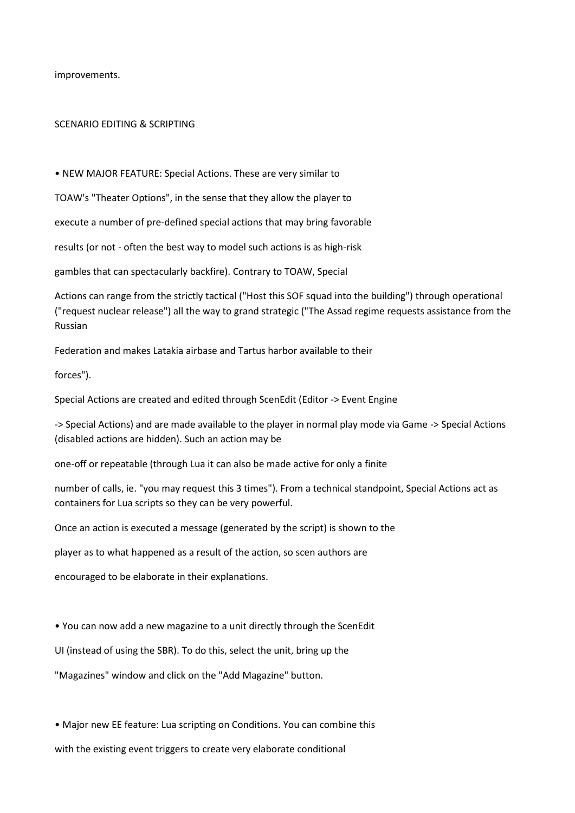improvements.

## SCENARIO EDITING & SCRIPTING

• NEW MAJOR FEATURE: Special Actions. These are very similar to

TOAW's "Theater Options", in the sense that they allow the player to

execute a number of pre-defined special actions that may bring favorable

results (or not - often the best way to model such actions is as high-risk

gambles that can spectacularly backfire). Contrary to TOAW, Special

Actions can range from the strictly tactical ("Host this SOF squad into the building") through operational ("request nuclear release") all the way to grand strategic ("The Assad regime requests assistance from the Russian

Federation and makes Latakia airbase and Tartus harbor available to their

forces").

Special Actions are created and edited through ScenEdit (Editor -> Event Engine

-> Special Actions) and are made available to the player in normal play mode via Game -> Special Actions (disabled actions are hidden). Such an action may be

one-off or repeatable (through Lua it can also be made active for only a finite

number of calls, ie. "you may request this 3 times"). From a technical standpoint, Special Actions act as containers for Lua scripts so they can be very powerful.

Once an action is executed a message (generated by the script) is shown to the

player as to what happened as a result of the action, so scen authors are

encouraged to be elaborate in their explanations.

• You can now add a new magazine to a unit directly through the ScenEdit

UI (instead of using the SBR). To do this, select the unit, bring up the

"Magazines" window and click on the "Add Magazine" button.

• Major new EE feature: Lua scripting on Conditions. You can combine this with the existing event triggers to create very elaborate conditional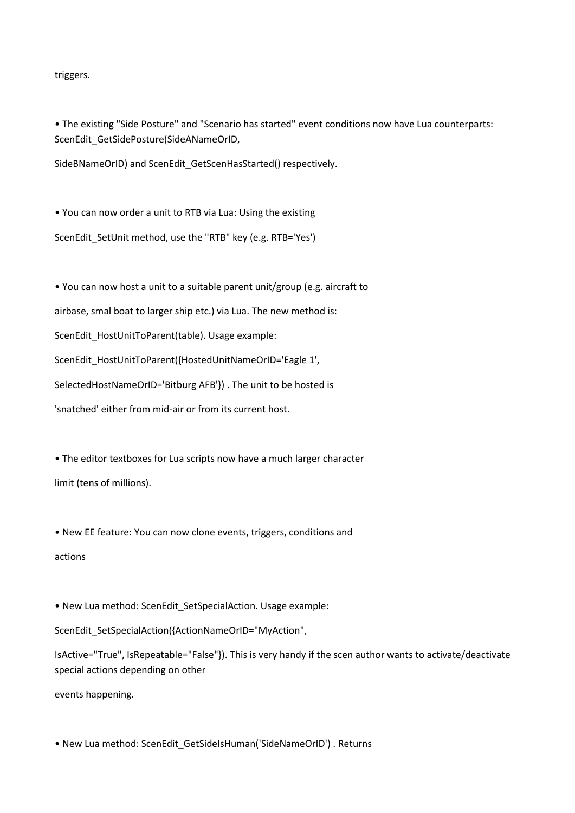triggers.

• The existing "Side Posture" and "Scenario has started" event conditions now have Lua counterparts: ScenEdit\_GetSidePosture(SideANameOrID,

SideBNameOrID) and ScenEdit\_GetScenHasStarted() respectively.

• You can now order a unit to RTB via Lua: Using the existing ScenEdit\_SetUnit method, use the "RTB" key (e.g. RTB='Yes')

• You can now host a unit to a suitable parent unit/group (e.g. aircraft to airbase, smal boat to larger ship etc.) via Lua. The new method is: ScenEdit\_HostUnitToParent(table). Usage example: ScenEdit\_HostUnitToParent({HostedUnitNameOrID='Eagle 1', SelectedHostNameOrID='Bitburg AFB'}) . The unit to be hosted is 'snatched' either from mid-air or from its current host.

• The editor textboxes for Lua scripts now have a much larger character limit (tens of millions).

• New EE feature: You can now clone events, triggers, conditions and actions

• New Lua method: ScenEdit\_SetSpecialAction. Usage example:

ScenEdit\_SetSpecialAction({ActionNameOrID="MyAction",

IsActive="True", IsRepeatable="False"}). This is very handy if the scen author wants to activate/deactivate special actions depending on other

events happening.

• New Lua method: ScenEdit\_GetSideIsHuman('SideNameOrID') . Returns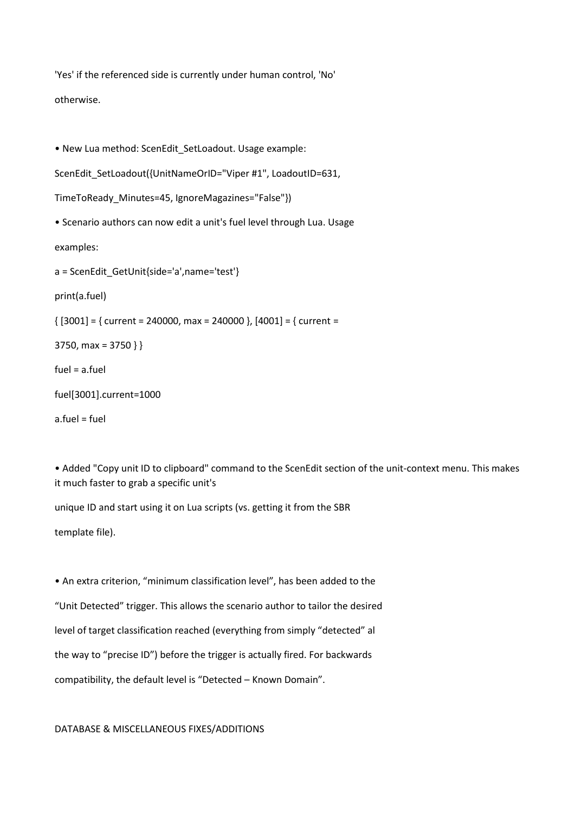'Yes' if the referenced side is currently under human control, 'No' otherwise.

• New Lua method: ScenEdit SetLoadout. Usage example:

ScenEdit\_SetLoadout({UnitNameOrID="Viper #1", LoadoutID=631,

TimeToReady\_Minutes=45, IgnoreMagazines="False"})

• Scenario authors can now edit a unit's fuel level through Lua. Usage

examples:

a = ScenEdit\_GetUnit{side='a',name='test'}

print(a.fuel)

 $\{ [3001] = \}$  current = 240000, max = 240000 },  $[4001] = \{$  current =

3750, max = 3750 } }

fuel = a.fuel

fuel[3001].current=1000

a.fuel = fuel

• Added "Copy unit ID to clipboard" command to the ScenEdit section of the unit-context menu. This makes it much faster to grab a specific unit's

unique ID and start using it on Lua scripts (vs. getting it from the SBR

template file).

• An extra criterion, "minimum classification level", has been added to the "Unit Detected" trigger. This allows the scenario author to tailor the desired level of target classification reached (everything from simply "detected" al the way to "precise ID") before the trigger is actually fired. For backwards compatibility, the default level is "Detected – Known Domain".

DATABASE & MISCELLANEOUS FIXES/ADDITIONS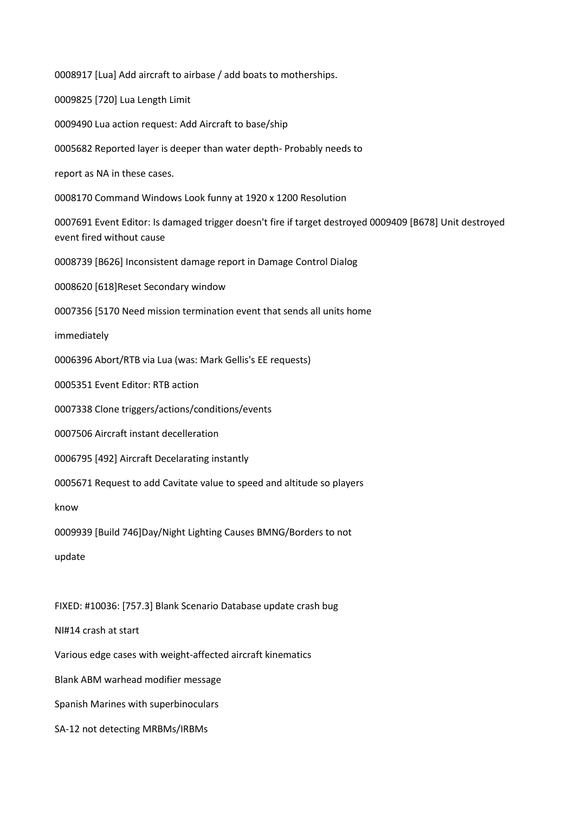0008917 [Lua] Add aircraft to airbase / add boats to motherships. 0009825 [720] Lua Length Limit 0009490 Lua action request: Add Aircraft to base/ship 0005682 Reported layer is deeper than water depth- Probably needs to report as NA in these cases. 0008170 Command Windows Look funny at 1920 x 1200 Resolution 0007691 Event Editor: Is damaged trigger doesn't fire if target destroyed 0009409 [B678] Unit destroyed event fired without cause 0008739 [B626] Inconsistent damage report in Damage Control Dialog 0008620 [618]Reset Secondary window 0007356 [5170 Need mission termination event that sends all units home immediately 0006396 Abort/RTB via Lua (was: Mark Gellis's EE requests) 0005351 Event Editor: RTB action 0007338 Clone triggers/actions/conditions/events 0007506 Aircraft instant decelleration 0006795 [492] Aircraft Decelarating instantly 0005671 Request to add Cavitate value to speed and altitude so players know 0009939 [Build 746]Day/Night Lighting Causes BMNG/Borders to not update FIXED: #10036: [757.3] Blank Scenario Database update crash bug NI#14 crash at start Various edge cases with weight-affected aircraft kinematics Blank ABM warhead modifier message Spanish Marines with superbinoculars

SA-12 not detecting MRBMs/IRBMs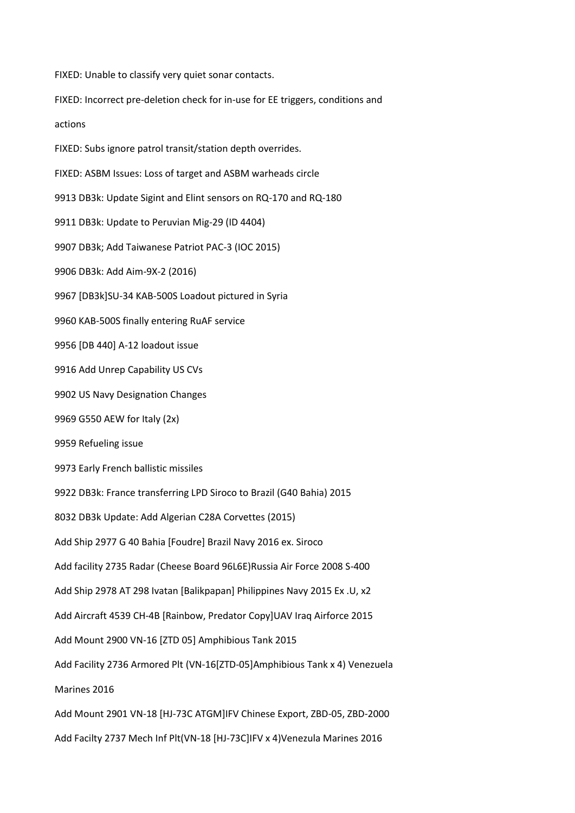FIXED: Unable to classify very quiet sonar contacts.

FIXED: Incorrect pre-deletion check for in-use for EE triggers, conditions and

actions

FIXED: Subs ignore patrol transit/station depth overrides.

FIXED: ASBM Issues: Loss of target and ASBM warheads circle

9913 DB3k: Update Sigint and Elint sensors on RQ-170 and RQ-180

9911 DB3k: Update to Peruvian Mig-29 (ID 4404)

9907 DB3k; Add Taiwanese Patriot PAC-3 (IOC 2015)

9906 DB3k: Add Aim-9X-2 (2016)

9967 [DB3k]SU-34 KAB-500S Loadout pictured in Syria

9960 KAB-500S finally entering RuAF service

9956 [DB 440] A-12 loadout issue

9916 Add Unrep Capability US CVs

9902 US Navy Designation Changes

9969 G550 AEW for Italy (2x)

9959 Refueling issue

9973 Early French ballistic missiles

9922 DB3k: France transferring LPD Siroco to Brazil (G40 Bahia) 2015

8032 DB3k Update: Add Algerian C28A Corvettes (2015)

Add Ship 2977 G 40 Bahia [Foudre] Brazil Navy 2016 ex. Siroco

Add facility 2735 Radar (Cheese Board 96L6E)Russia Air Force 2008 S-400

Add Ship 2978 AT 298 Ivatan [Balikpapan] Philippines Navy 2015 Ex .U, x2

Add Aircraft 4539 CH-4B [Rainbow, Predator Copy]UAV Iraq Airforce 2015

Add Mount 2900 VN-16 [ZTD 05] Amphibious Tank 2015

Add Facility 2736 Armored Plt (VN-16[ZTD-05]Amphibious Tank x 4) Venezuela

Marines 2016

Add Mount 2901 VN-18 [HJ-73C ATGM]IFV Chinese Export, ZBD-05, ZBD-2000

Add Facilty 2737 Mech Inf Plt(VN-18 [HJ-73C]IFV x 4)Venezula Marines 2016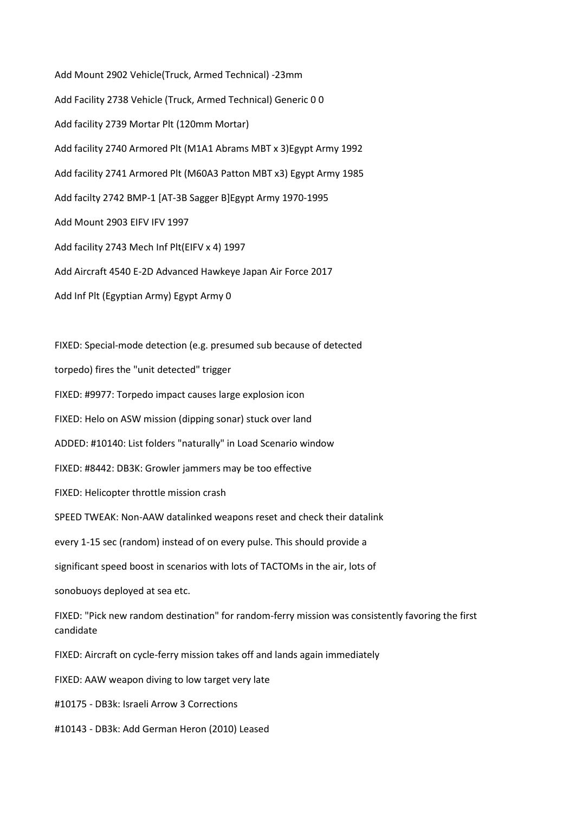Add Mount 2902 Vehicle(Truck, Armed Technical) -23mm Add Facility 2738 Vehicle (Truck, Armed Technical) Generic 0 0 Add facility 2739 Mortar Plt (120mm Mortar) Add facility 2740 Armored Plt (M1A1 Abrams MBT x 3)Egypt Army 1992 Add facility 2741 Armored Plt (M60A3 Patton MBT x3) Egypt Army 1985 Add facilty 2742 BMP-1 [AT-3B Sagger B]Egypt Army 1970-1995 Add Mount 2903 EIFV IFV 1997 Add facility 2743 Mech Inf Plt(EIFV x 4) 1997 Add Aircraft 4540 E-2D Advanced Hawkeye Japan Air Force 2017 Add Inf Plt (Egyptian Army) Egypt Army 0

FIXED: Special-mode detection (e.g. presumed sub because of detected

torpedo) fires the "unit detected" trigger

FIXED: #9977: Torpedo impact causes large explosion icon

FIXED: Helo on ASW mission (dipping sonar) stuck over land

ADDED: #10140: List folders "naturally" in Load Scenario window

FIXED: #8442: DB3K: Growler jammers may be too effective

FIXED: Helicopter throttle mission crash

SPEED TWEAK: Non-AAW datalinked weapons reset and check their datalink

every 1-15 sec (random) instead of on every pulse. This should provide a

significant speed boost in scenarios with lots of TACTOMs in the air, lots of

sonobuoys deployed at sea etc.

FIXED: "Pick new random destination" for random-ferry mission was consistently favoring the first candidate

FIXED: Aircraft on cycle-ferry mission takes off and lands again immediately

FIXED: AAW weapon diving to low target very late

#10175 - DB3k: Israeli Arrow 3 Corrections

#10143 - DB3k: Add German Heron (2010) Leased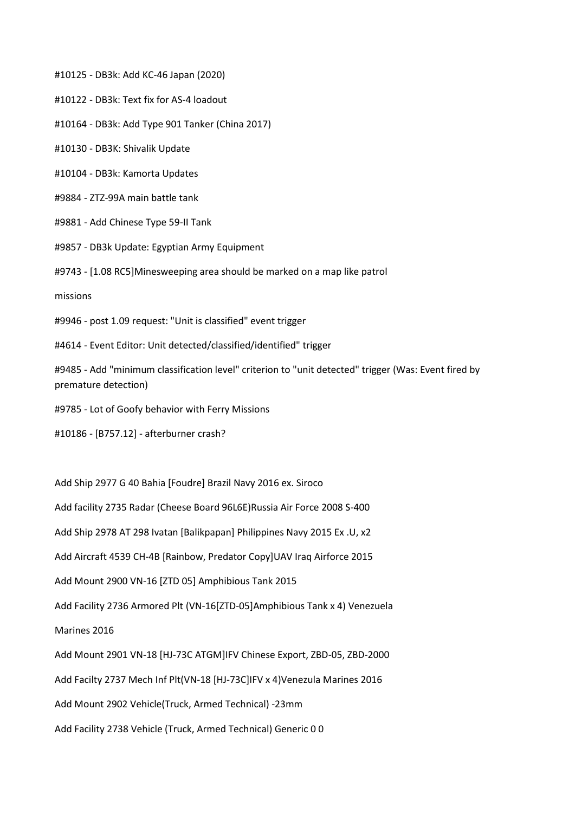#10125 - DB3k: Add KC-46 Japan (2020)

#10122 - DB3k: Text fix for AS-4 loadout

#10164 - DB3k: Add Type 901 Tanker (China 2017)

#10130 - DB3K: Shivalik Update

#10104 - DB3k: Kamorta Updates

#9884 - ZTZ-99A main battle tank

#9881 - Add Chinese Type 59-II Tank

#9857 - DB3k Update: Egyptian Army Equipment

#9743 - [1.08 RC5]Minesweeping area should be marked on a map like patrol

missions

#9946 - post 1.09 request: "Unit is classified" event trigger

#4614 - Event Editor: Unit detected/classified/identified" trigger

#9485 - Add "minimum classification level" criterion to "unit detected" trigger (Was: Event fired by premature detection)

#9785 - Lot of Goofy behavior with Ferry Missions

#10186 - [B757.12] - afterburner crash?

Add Ship 2977 G 40 Bahia [Foudre] Brazil Navy 2016 ex. Siroco

Add facility 2735 Radar (Cheese Board 96L6E)Russia Air Force 2008 S-400

Add Ship 2978 AT 298 Ivatan [Balikpapan] Philippines Navy 2015 Ex .U, x2

Add Aircraft 4539 CH-4B [Rainbow, Predator Copy]UAV Iraq Airforce 2015

Add Mount 2900 VN-16 [ZTD 05] Amphibious Tank 2015

Add Facility 2736 Armored Plt (VN-16[ZTD-05]Amphibious Tank x 4) Venezuela

Marines 2016

Add Mount 2901 VN-18 [HJ-73C ATGM]IFV Chinese Export, ZBD-05, ZBD-2000

Add Facilty 2737 Mech Inf Plt(VN-18 [HJ-73C]IFV x 4)Venezula Marines 2016

Add Mount 2902 Vehicle(Truck, Armed Technical) -23mm

Add Facility 2738 Vehicle (Truck, Armed Technical) Generic 0 0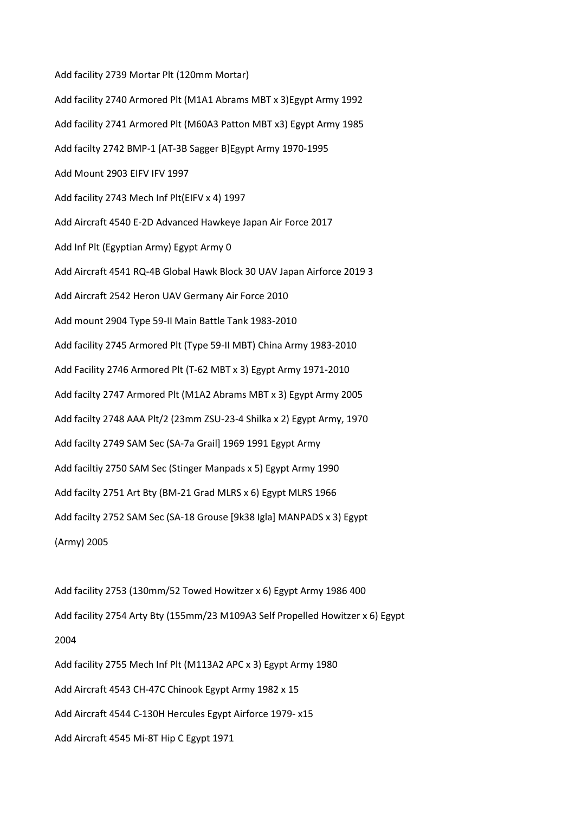Add facility 2739 Mortar Plt (120mm Mortar) Add facility 2740 Armored Plt (M1A1 Abrams MBT x 3)Egypt Army 1992 Add facility 2741 Armored Plt (M60A3 Patton MBT x3) Egypt Army 1985 Add facilty 2742 BMP-1 [AT-3B Sagger B]Egypt Army 1970-1995 Add Mount 2903 EIFV IFV 1997 Add facility 2743 Mech Inf Plt(EIFV x 4) 1997 Add Aircraft 4540 E-2D Advanced Hawkeye Japan Air Force 2017 Add Inf Plt (Egyptian Army) Egypt Army 0 Add Aircraft 4541 RQ-4B Global Hawk Block 30 UAV Japan Airforce 2019 3 Add Aircraft 2542 Heron UAV Germany Air Force 2010 Add mount 2904 Type 59-II Main Battle Tank 1983-2010 Add facility 2745 Armored Plt (Type 59-II MBT) China Army 1983-2010 Add Facility 2746 Armored Plt (T-62 MBT x 3) Egypt Army 1971-2010 Add facilty 2747 Armored Plt (M1A2 Abrams MBT x 3) Egypt Army 2005 Add facilty 2748 AAA Plt/2 (23mm ZSU-23-4 Shilka x 2) Egypt Army, 1970 Add facilty 2749 SAM Sec (SA-7a Grail] 1969 1991 Egypt Army Add faciltiy 2750 SAM Sec (Stinger Manpads x 5) Egypt Army 1990 Add facilty 2751 Art Bty (BM-21 Grad MLRS x 6) Egypt MLRS 1966 Add facilty 2752 SAM Sec (SA-18 Grouse [9k38 Igla] MANPADS x 3) Egypt (Army) 2005

Add facility 2753 (130mm/52 Towed Howitzer x 6) Egypt Army 1986 400 Add facility 2754 Arty Bty (155mm/23 M109A3 Self Propelled Howitzer x 6) Egypt 2004 Add facility 2755 Mech Inf Plt (M113A2 APC x 3) Egypt Army 1980 Add Aircraft 4543 CH-47C Chinook Egypt Army 1982 x 15 Add Aircraft 4544 C-130H Hercules Egypt Airforce 1979- x15 Add Aircraft 4545 Mi-8T Hip C Egypt 1971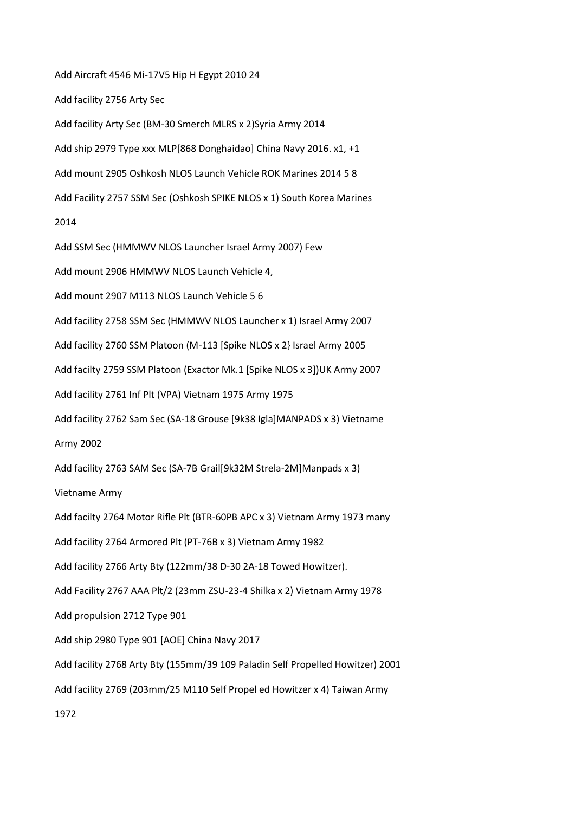Add Aircraft 4546 Mi-17V5 Hip H Egypt 2010 24 Add facility 2756 Arty Sec Add facility Arty Sec (BM-30 Smerch MLRS x 2)Syria Army 2014 Add ship 2979 Type xxx MLP[868 Donghaidao] China Navy 2016. x1, +1 Add mount 2905 Oshkosh NLOS Launch Vehicle ROK Marines 2014 5 8 Add Facility 2757 SSM Sec (Oshkosh SPIKE NLOS x 1) South Korea Marines 2014 Add SSM Sec (HMMWV NLOS Launcher Israel Army 2007) Few Add mount 2906 HMMWV NLOS Launch Vehicle 4, Add mount 2907 M113 NLOS Launch Vehicle 5 6 Add facility 2758 SSM Sec (HMMWV NLOS Launcher x 1) Israel Army 2007 Add facility 2760 SSM Platoon (M-113 [Spike NLOS x 2} Israel Army 2005 Add facilty 2759 SSM Platoon (Exactor Mk.1 [Spike NLOS x 3])UK Army 2007 Add facility 2761 Inf Plt (VPA) Vietnam 1975 Army 1975 Add facility 2762 Sam Sec (SA-18 Grouse [9k38 Igla]MANPADS x 3) Vietname Army 2002 Add facility 2763 SAM Sec (SA-7B Grail[9k32M Strela-2M]Manpads x 3) Vietname Army Add facilty 2764 Motor Rifle Plt (BTR-60PB APC x 3) Vietnam Army 1973 many Add facility 2764 Armored Plt (PT-76B x 3) Vietnam Army 1982 Add facility 2766 Arty Bty (122mm/38 D-30 2A-18 Towed Howitzer). Add Facility 2767 AAA Plt/2 (23mm ZSU-23-4 Shilka x 2) Vietnam Army 1978 Add propulsion 2712 Type 901 Add ship 2980 Type 901 [AOE] China Navy 2017 Add facility 2768 Arty Bty (155mm/39 109 Paladin Self Propelled Howitzer) 2001 Add facility 2769 (203mm/25 M110 Self Propel ed Howitzer x 4) Taiwan Army 1972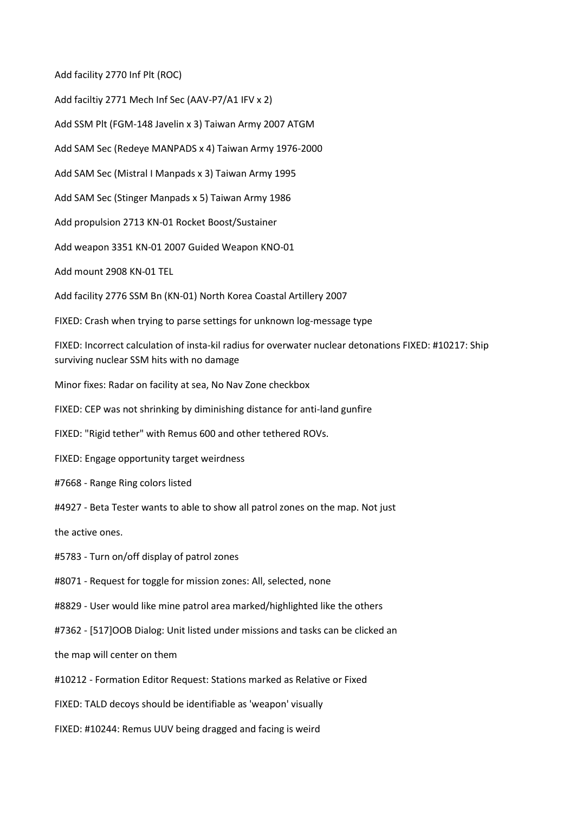Add facility 2770 Inf Plt (ROC)

Add faciltiy 2771 Mech Inf Sec (AAV-P7/A1 IFV x 2) Add SSM Plt (FGM-148 Javelin x 3) Taiwan Army 2007 ATGM Add SAM Sec (Redeye MANPADS x 4) Taiwan Army 1976-2000 Add SAM Sec (Mistral I Manpads x 3) Taiwan Army 1995 Add SAM Sec (Stinger Manpads x 5) Taiwan Army 1986 Add propulsion 2713 KN-01 Rocket Boost/Sustainer Add weapon 3351 KN-01 2007 Guided Weapon KNO-01 Add mount 2908 KN-01 TEL Add facility 2776 SSM Bn (KN-01) North Korea Coastal Artillery 2007 FIXED: Crash when trying to parse settings for unknown log-message type FIXED: Incorrect calculation of insta-kil radius for overwater nuclear detonations FIXED: #10217: Ship surviving nuclear SSM hits with no damage Minor fixes: Radar on facility at sea, No Nav Zone checkbox FIXED: CEP was not shrinking by diminishing distance for anti-land gunfire FIXED: "Rigid tether" with Remus 600 and other tethered ROVs. FIXED: Engage opportunity target weirdness #7668 - Range Ring colors listed #4927 - Beta Tester wants to able to show all patrol zones on the map. Not just the active ones. #5783 - Turn on/off display of patrol zones

#8071 - Request for toggle for mission zones: All, selected, none

#8829 - User would like mine patrol area marked/highlighted like the others

#7362 - [517]OOB Dialog: Unit listed under missions and tasks can be clicked an

the map will center on them

#10212 - Formation Editor Request: Stations marked as Relative or Fixed

FIXED: TALD decoys should be identifiable as 'weapon' visually

FIXED: #10244: Remus UUV being dragged and facing is weird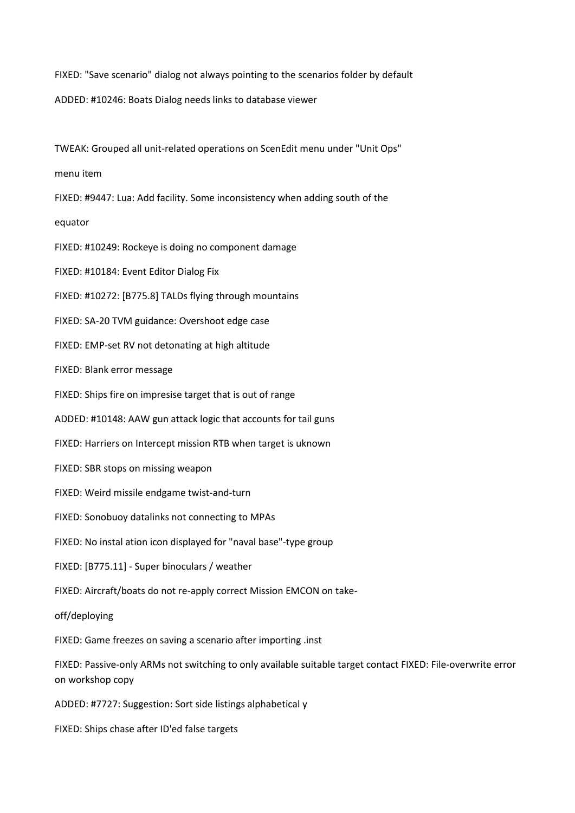FIXED: "Save scenario" dialog not always pointing to the scenarios folder by default ADDED: #10246: Boats Dialog needs links to database viewer

TWEAK: Grouped all unit-related operations on ScenEdit menu under "Unit Ops"

menu item

FIXED: #9447: Lua: Add facility. Some inconsistency when adding south of the

equator

FIXED: #10249: Rockeye is doing no component damage

FIXED: #10184: Event Editor Dialog Fix

FIXED: #10272: [B775.8] TALDs flying through mountains

FIXED: SA-20 TVM guidance: Overshoot edge case

FIXED: EMP-set RV not detonating at high altitude

FIXED: Blank error message

FIXED: Ships fire on impresise target that is out of range

ADDED: #10148: AAW gun attack logic that accounts for tail guns

FIXED: Harriers on Intercept mission RTB when target is uknown

FIXED: SBR stops on missing weapon

FIXED: Weird missile endgame twist-and-turn

FIXED: Sonobuoy datalinks not connecting to MPAs

FIXED: No instal ation icon displayed for "naval base"-type group

FIXED: [B775.11] - Super binoculars / weather

FIXED: Aircraft/boats do not re-apply correct Mission EMCON on take-

off/deploying

FIXED: Game freezes on saving a scenario after importing .inst

FIXED: Passive-only ARMs not switching to only available suitable target contact FIXED: File-overwrite error on workshop copy

ADDED: #7727: Suggestion: Sort side listings alphabetical y

FIXED: Ships chase after ID'ed false targets